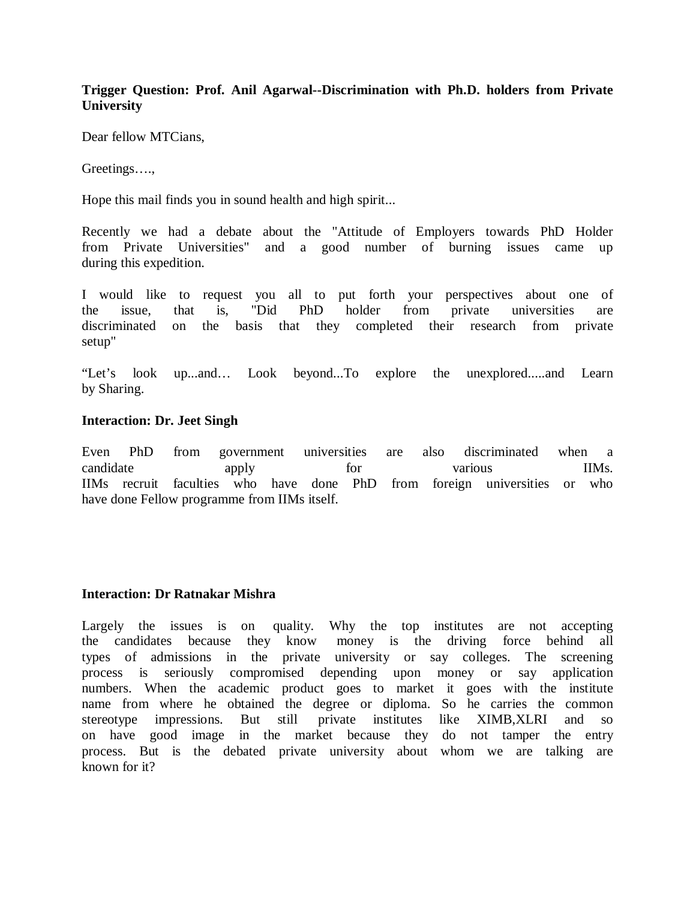## **Trigger Question: Prof. Anil Agarwal--Discrimination with Ph.D. holders from Private University**

Dear fellow MTCians,

Greetings….,

Hope this mail finds you in sound health and high spirit...

Recently we had a debate about the "Attitude of Employers towards PhD Holder from Private Universities" and a good number of burning issues came up during this expedition.

I would like to request you all to put forth your perspectives about one of the issue, that is, "Did PhD holder from private universities are discriminated on the basis that they completed their research from private setup"

"Let's look up...and… Look beyond...To explore the unexplored.....and Learn by Sharing.

## **Interaction: Dr. Jeet Singh**

Even PhD from government universities are also discriminated when a candidate apply for various IIMs. IIMs recruit faculties who have done PhD from foreign universities or who have done Fellow programme from IIMs itself.

## **Interaction: Dr Ratnakar Mishra**

Largely the issues is on quality. Why the top institutes are not accepting the candidates because they know money is the driving force behind all types of admissions in the private university or say colleges. The screening process is seriously compromised depending upon money or say application numbers. When the academic product goes to market it goes with the institute name from where he obtained the degree or diploma. So he carries the common stereotype impressions. But still private institutes like XIMB,XLRI and so on have good image in the market because they do not tamper the entry process. But is the debated private university about whom we are talking are known for it?